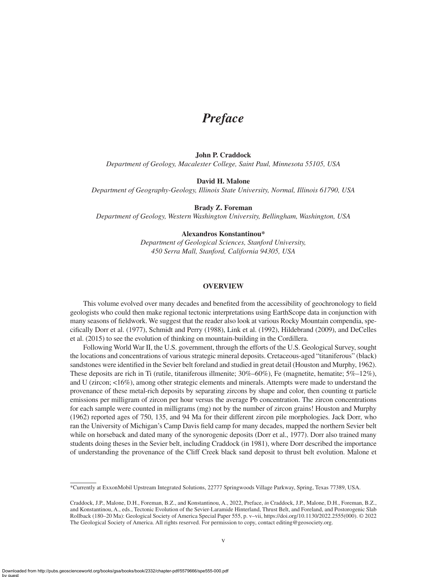# *Preface*

# **John P. Craddock**

*Department of Geology, Macalester College, Saint Paul, Minnesota 55105, USA*

## **David H. Malone**

*Department of Geography-Geology, Illinois State University, Normal, Illinois 61790, USA*

# **Brady Z. Foreman**

*Department of Geology, Western Washington University, Bellingham, Washington, USA*

#### **Alexandros Konstantinou\***

*Department of Geological Sciences, Stanford University, 450 Serra Mall, Stanford, California 94305, USA*

#### **OVERVIEW**

This volume evolved over many decades and benefited from the accessibility of geochronology to field geologists who could then make regional tectonic interpretations using EarthScope data in conjunction with many seasons of fieldwork. We suggest that the reader also look at various Rocky Mountain compendia, specifically Dorr et al. (1977), Schmidt and Perry (1988), Link et al. (1992), Hildebrand (2009), and DeCelles et al. (2015) to see the evolution of thinking on mountain-building in the Cordillera.

Following World War II, the U.S. government, through the efforts of the U.S. Geological Survey, sought the locations and concentrations of various strategic mineral deposits. Cretaceous-aged "titaniferous" (black) sandstones were identified in the Sevier belt foreland and studied in great detail (Houston and Murphy, 1962). These deposits are rich in Ti (rutile, titaniferous illmenite;  $30\% - 60\%$ ), Fe (magnetite, hematite;  $5\% - 12\%$ ), and U (zircon; <16%), among other strategic elements and minerals. Attempts were made to understand the provenance of these metal-rich deposits by separating zircons by shape and color, then counting  $\alpha$  particle emissions per milligram of zircon per hour versus the average Pb concentration. The zircon concentrations for each sample were counted in milligrams (mg) not by the number of zircon grains! Houston and Murphy (1962) reported ages of 750, 135, and 94 Ma for their different zircon pile morphologies. Jack Dorr, who ran the University of Michigan's Camp Davis field camp for many decades, mapped the northern Sevier belt while on horseback and dated many of the synorogenic deposits (Dorr et al., 1977). Dorr also trained many students doing theses in the Sevier belt, including Craddock (in 1981), where Dorr described the importance of understanding the provenance of the Cliff Creek black sand deposit to thrust belt evolution. Malone et

<sup>\*</sup>Currently at ExxonMobil Upstream Integrated Solutions, 22777 Springwoods Village Parkway, Spring, Texas 77389, USA.

Craddock, J.P., Malone, D.H., Foreman, B.Z., and Konstantinou, A., 2022, Preface, *in* Craddock, J.P., Malone, D.H., Foreman, B.Z., and Konstantinou, A., eds., Tectonic Evolution of the Sevier-Laramide Hinterland, Thrust Belt, and Foreland, and Postorogenic Slab Rollback (180–20 Ma): Geological Society of America Special Paper 555, p. v–vii, [https://doi.org/10.1130/2022.2555\(000\)](https://doi.org/10.1130/2022.2555(000)). © 2022 The Geological Society of America. All rights reserved. For permission to copy, contact [editing@geosociety.org](mailto:editing@geosociety.org).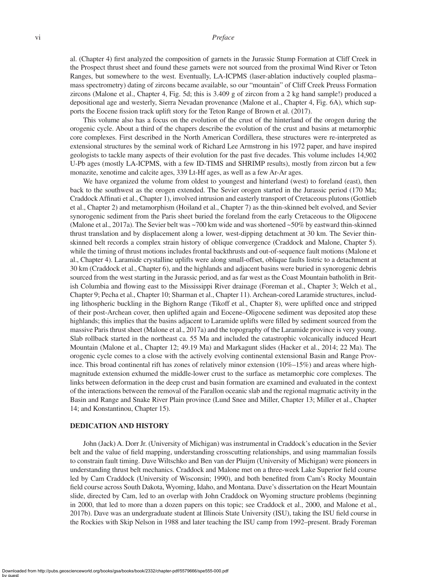## vi *Preface*

al. (Chapter 4) first analyzed the composition of garnets in the Jurassic Stump Formation at Cliff Creek in the Prospect thrust sheet and found these garnets were not sourced from the proximal Wind River or Teton Ranges, but somewhere to the west. Eventually, LA-ICPMS (laser-ablation inductively coupled plasma– mass spectrometry) dating of zircons became available, so our "mountain" of Cliff Creek Preuss Formation zircons (Malone et al., Chapter 4, Fig. 5d; this is 3.409 g of zircon from a 2 kg hand sample!) produced a depositional age and westerly, Sierra Nevadan provenance (Malone et al., Chapter 4, Fig. 6A), which supports the Eocene fission track uplift story for the Teton Range of Brown et al. (2017).

This volume also has a focus on the evolution of the crust of the hinterland of the orogen during the orogenic cycle. About a third of the chapers describe the evolution of the crust and basins at metamorphic core complexes. First described in the North American Cordillera, these structures were re-interpreted as extensional structures by the seminal work of Richard Lee Armstrong in his 1972 paper, and have inspired geologists to tackle many aspects of their evolution for the past five decades. This volume includes 14,902 U-Pb ages (mostly LA-ICPMS, with a few ID-TIMS and SHRIMP results), mostly from zircon but a few monazite, xenotime and calcite ages, 339 Lt-Hf ages, as well as a few Ar-Ar ages.

We have organized the volume from oldest to youngest and hinterland (west) to foreland (east), then back to the southwest as the orogen extended. The Sevier orogen started in the Jurassic period (170 Ma; Craddock Affinati et al., Chapter 1), involved intrusion and easterly transport of Cretaceous plutons (Gottlieb et al., Chapter 2) and metamorphism (Hoiland et al., Chapter 7) as the thin-skinned belt evolved, and Sevier synorogenic sediment from the Paris sheet buried the foreland from the early Cretaceous to the Oligocene (Malone et al., 2017a). The Sevier belt was ~700 km wide and was shortened ~50% by eastward thin-skinned thrust translation and by displacement along a lower, west-dipping detachment at 30 km. The Sevier thinskinned belt records a complex strain history of oblique convergence (Craddock and Malone, Chapter 5). while the timing of thrust motions includes frontal backthrusts and out-of-sequence fault motions (Malone et al., Chapter 4). Laramide crystalline uplifts were along small-offset, oblique faults listric to a detachment at 30 km (Craddock et al., Chapter 6), and the highlands and adjacent basins were buried in synorogenic debris sourced from the west starting in the Jurassic period, and as far west as the Coast Mountain batholith in British Columbia and flowing east to the Mississippi River drainage (Foreman et al., Chapter 3; Welch et al., Chapter 9; Pecha et al., Chapter 10; Sharman et al., Chapter 11). Archean-cored Laramide structures, including lithospheric buckling in the Bighorn Range (Tikoff et al., Chapter 8), were uplifted once and stripped of their post-Archean cover, then uplifted again and Eocene–Oligocene sediment was deposited atop these highlands; this implies that the basins adjacent to Laramide uplifts were filled by sediment sourced from the massive Paris thrust sheet (Malone et al., 2017a) and the topography of the Laramide province is very young. Slab rollback started in the northeast ca. 55 Ma and included the catastrophic volcanically induced Heart Mountain (Malone et al., Chapter 12; 49.19 Ma) and Markagunt slides (Hacker et al., 2014; 22 Ma). The orogenic cycle comes to a close with the actively evolving continental extensional Basin and Range Province. This broad continental rift has zones of relatively minor extension (10%–15%) and areas where highmagnitude extension exhumed the middle-lower crust to the surface as metamorphic core complexes. The links between deformation in the deep crust and basin formation are examined and evaluated in the context of the interactions between the removal of the Farallon oceanic slab and the regional magmatic activity in the Basin and Range and Snake River Plain province (Lund Snee and Miller, Chapter 13; Miller et al., Chapter 14; and Konstantinou, Chapter 15).

## **DEDICATION AND HISTORY**

John (Jack) A. Dorr Jr. (University of Michigan) was instrumental in Craddock's education in the Sevier belt and the value of field mapping, understanding crosscutting relationships, and using mammalian fossils to constrain fault timing. Dave Wiltschko and Ben van der Pluijm (University of Michigan) were pioneers in understanding thrust belt mechanics. Craddock and Malone met on a three-week Lake Superior field course led by Cam Craddock (University of Wisconsin; 1990), and both benefited from Cam's Rocky Mountain field course across South Dakota, Wyoming, Idaho, and Montana. Dave's dissertation on the Heart Mountain slide, directed by Cam, led to an overlap with John Craddock on Wyoming structure problems (beginning in 2000, that led to more than a dozen papers on this topic; see Craddock et al., 2000, and Malone et al., 2017b). Dave was an undergraduate student at Illinois State University (ISU), taking the ISU field course in the Rockies with Skip Nelson in 1988 and later teaching the ISU camp from 1992–present. Brady Foreman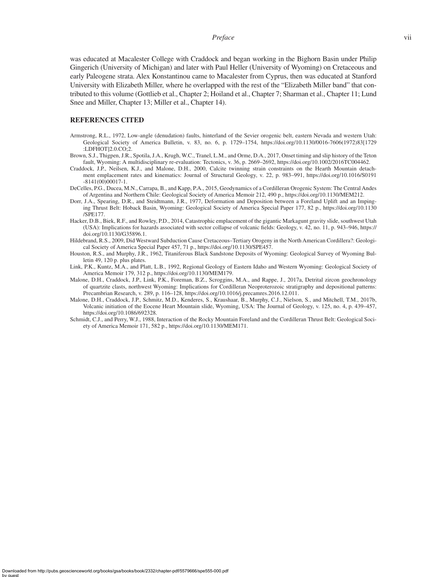## *Preface* vii

was educated at Macalester College with Craddock and began working in the Bighorn Basin under Philip Gingerich (University of Michigan) and later with Paul Heller (University of Wyoming) on Cretaceous and early Paleogene strata. Alex Konstantinou came to Macalester from Cyprus, then was educated at Stanford University with Elizabeth Miller, where he overlapped with the rest of the "Elizabeth Miller band" that contributed to this volume (Gottlieb et al., Chapter 2; Hoiland et al., Chapter 7; Sharman et al., Chapter 11; Lund Snee and Miller, Chapter 13; Miller et al., Chapter 14).

## **REFERENCES CITED**

- Armstrong, R.L., 1972, Low-angle (denudation) faults, hinterland of the Sevier orogenic belt, eastern Nevada and western Utah: Geological Society of America Bulletin, v. 83, no. 6, p. 1729–1754, [https://doi.org/10.1130/0016-7606\(1972\)83\[1729](https://doi.org/10.1130/0016-7606(1972)83%5b1729:LDFHOT%5d2.0.CO;2) [:LDFHOT\]2.0.CO;2](https://doi.org/10.1130/0016-7606(1972)83%5b1729:LDFHOT%5d2.0.CO;2).
- Brown, S.J., Thigpen, J.R., Spotila, J.A., Krugh, W.C., Tranel, L.M., and Orme, D.A., 2017, Onset timing and slip history of the Teton fault, Wyoming: A multidisciplinary re-evaluation: Tectonics, v. 36, p. 2669–2692, [https://doi.org/10.1002/2016TC004462.](https://doi.org/10.1002/2016TC004462)
- Craddock, J.P., Neilsen, K.J., and Malone, D.H., 2000, Calcite twinning strain constraints on the Hearth Mountain detachment emplacement rates and kinematics: Journal of Structural Geology, v. 22, p. 983-991, [https://doi.org/10.1016/S0191](https://doi.org/10.1016/S0191-8141(00)00017-1) [-8141\(00\)00017-1.](https://doi.org/10.1016/S0191-8141(00)00017-1)
- DeCelles, P.G., Ducea, M.N., Carrapa, B., and Kapp, P.A., 2015, Geodynamics of a Cordilleran Orogenic System: The Central Andes of Argentina and Northern Chile: Geological Society of America Memoir 212, 490 p., <https://doi.org/10.1130/MEM212>.
- Dorr, J.A., Spearing, D.R., and Steidtmann, J.R., 1977, Deformation and Deposition between a Foreland Uplift and an Impinging Thrust Belt: Hoback Basin, Wyoming: Geological Society of America Special Paper 177, 82 p., [https://doi.org/10.1130](https://doi.org/10.1130/SPE177-p1) [/SPE177](https://doi.org/10.1130/SPE177-p1).
- [Hacker,](https://pubs.geoscienceworld.org/geology/search-results?f_Authors=David+B.+Hacker) D.B.[, Biek](https://pubs.geoscienceworld.org/geology/search-results?f_Authors=Robert+F.+Biek), R.F., and [Rowley,](https://pubs.geoscienceworld.org/geology/search-results?f_Authors=Peter+D.+Rowley) P.D., 2014, [Catastrophic emplacement of the gigantic Markagunt gravity slide, southwest Utah](https://pubs.geoscienceworld.org/gsa/geology/article/42/11/943/131423/Catastrophic-emplacement-of-the-gigantic-Markagunt?searchresult=1) [\(USA\): Implications for hazards associated with sector collapse of volcanic fields:](https://pubs.geoscienceworld.org/gsa/geology/article/42/11/943/131423/Catastrophic-emplacement-of-the-gigantic-Markagunt?searchresult=1) Geology, v. 42, no. 11, p. 943–946, [https://](https://doi.org/10.1130/G35896.1) [doi.org/10.1130/G35896.1.](https://doi.org/10.1130/G35896.1)
- Hildebrand, R.S., 2009, Did Westward Subduction Cause Cretaceous–Tertiary Orogeny in the North American Cordillera?: Geological Society of America Special Paper 457, 71 p., [https://doi.org/10.1130/SPE457.](https://doi.org/10.1130/SPE457)
- Houston, R.S., and Murphy, J.R., 1962, Titaniferous Black Sandstone Deposits of Wyoming: Geological Survey of Wyoming Bulletin 49, 120 p. plus plates.
- Link, P.K., Kuntz, M.A., and Platt, L.B., 1992, Regional Geology of Eastern Idaho and Western Wyoming: Geological Society of America Memoir 179, 312 p., [https://doi.org/10.1130/MEM179.](https://doi.org/10.1130/MEM179-pv)
- Malone, D.H., Craddock, J.P., Link, P.K., Foreman, B.Z., Scroggins, M.A., and Rappe, J., 2017a, Detrital zircon geochronology of quartzite clasts, northwest Wyoming: Implications for Cordilleran Neoproterozoic stratigraphy and depositional patterns: Precambrian Research, v. 289, p. 116–128, https://doi.org[/10.1016/j.precamres.2016.12.011.](https://doi.org/10.1016/j.precamres.2016.12.011)
- Malone, D.H., Craddock, J.P., Schmitz, M.D., Kenderes, S., Kraushaar, B., Murphy, C.J., Nielson, S., and Mitchell, T.M., 2017b, Volcanic initiation of the Eocene Heart Mountain slide, Wyoming, USA: The Journal of Geology, v. 125, no. 4, p. 439–457, <https://doi.org/10.1086/692328>.
- Schmidt, C.J., and Perry, W.J., 1988, Interaction of the Rocky Mountain Foreland and the Cordilleran Thrust Belt: Geological Society of America Memoir 171, 582 p., [https://doi.org/10.1130/MEM171.](https://doi.org/10.1130/MEM171-p171)